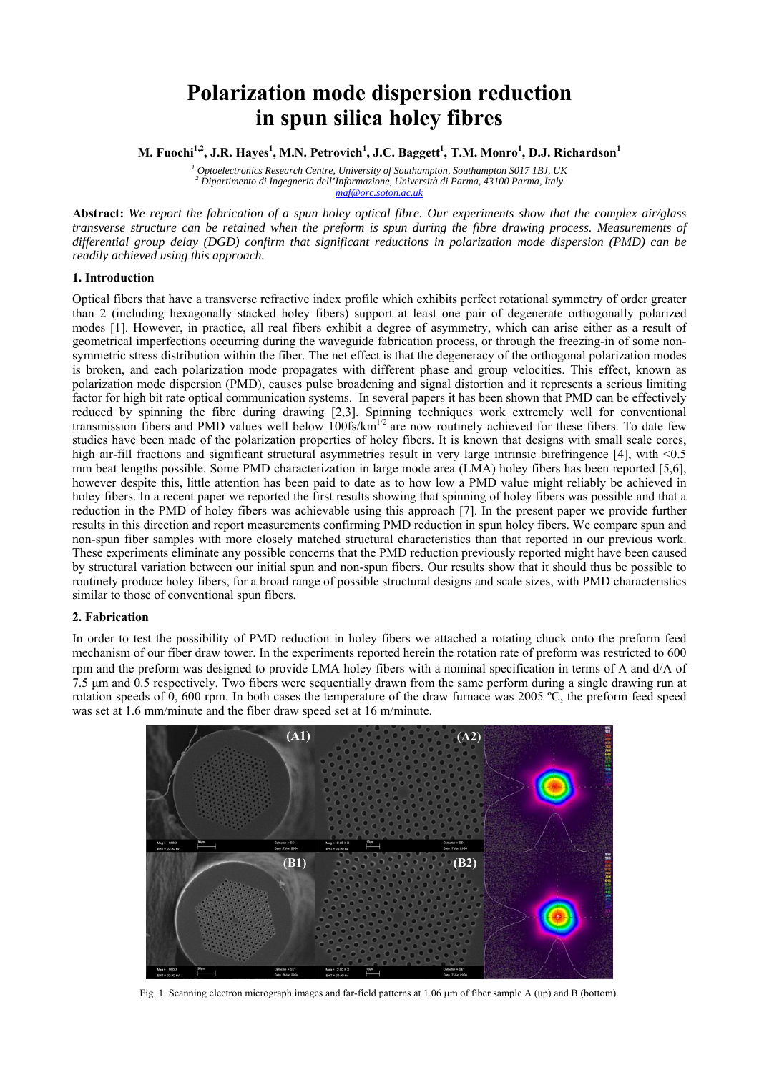# **Polarization mode dispersion reduction in spun silica holey fibres**

M. Fuochi<sup>1,2</sup>, J.R. Hayes<sup>1</sup>, M.N. Petrovich<sup>1</sup>, J.C. Baggett<sup>1</sup>, T.M. Monro<sup>1</sup>, D.J. Richardson<sup>1</sup>

*1 Optoelectronics Research Centre, University of Southampton, Southampton S017 1BJ, UK <sup>2</sup> Dipartimento di Ingegneria dell'Informazione, Università di Parma, 43100 Parma, Italy maf@orc.soton.ac.uk*

**Abstract:** *We report the fabrication of a spun holey optical fibre. Our experiments show that the complex air/glass transverse structure can be retained when the preform is spun during the fibre drawing process. Measurements of differential group delay (DGD) confirm that significant reductions in polarization mode dispersion (PMD) can be readily achieved using this approach.*

## **1. Introduction**

Optical fibers that have a transverse refractive index profile which exhibits perfect rotational symmetry of order greater than 2 (including hexagonally stacked holey fibers) support at least one pair of degenerate orthogonally polarized modes [1]. However, in practice, all real fibers exhibit a degree of asymmetry, which can arise either as a result of geometrical imperfections occurring during the waveguide fabrication process, or through the freezing-in of some nonsymmetric stress distribution within the fiber. The net effect is that the degeneracy of the orthogonal polarization modes is broken, and each polarization mode propagates with different phase and group velocities. This effect, known as polarization mode dispersion (PMD), causes pulse broadening and signal distortion and it represents a serious limiting factor for high bit rate optical communication systems. In several papers it has been shown that PMD can be effectively reduced by spinning the fibre during drawing [2,3]. Spinning techniques work extremely well for conventional transmission fibers and PMD values well below  $100$ fs/km<sup>1/2</sup> are now routinely achieved for these fibers. To date few studies have been made of the polarization properties of holey fibers. It is known that designs with small scale cores, high air-fill fractions and significant structural asymmetries result in very large intrinsic birefringence [4], with <0.5 mm beat lengths possible. Some PMD characterization in large mode area (LMA) holey fibers has been reported [5,6], however despite this, little attention has been paid to date as to how low a PMD value might reliably be achieved in holey fibers. In a recent paper we reported the first results showing that spinning of holey fibers was possible and that a reduction in the PMD of holey fibers was achievable using this approach [7]. In the present paper we provide further results in this direction and report measurements confirming PMD reduction in spun holey fibers. We compare spun and non-spun fiber samples with more closely matched structural characteristics than that reported in our previous work. These experiments eliminate any possible concerns that the PMD reduction previously reported might have been caused by structural variation between our initial spun and non-spun fibers. Our results show that it should thus be possible to routinely produce holey fibers, for a broad range of possible structural designs and scale sizes, with PMD characteristics similar to those of conventional spun fibers.

## **2. Fabrication**

In order to test the possibility of PMD reduction in holey fibers we attached a rotating chuck onto the preform feed mechanism of our fiber draw tower. In the experiments reported herein the rotation rate of preform was restricted to 600 rpm and the preform was designed to provide LMA holey fibers with a nominal specification in terms of Λ and d/Λ of 7.5 μm and 0.5 respectively. Two fibers were sequentially drawn from the same perform during a single drawing run at rotation speeds of 0, 600 rpm. In both cases the temperature of the draw furnace was 2005 ºC, the preform feed speed was set at 1.6 mm/minute and the fiber draw speed set at 16 m/minute.



Fig. 1. Scanning electron micrograph images and far-field patterns at 1.06 μm of fiber sample A (up) and B (bottom).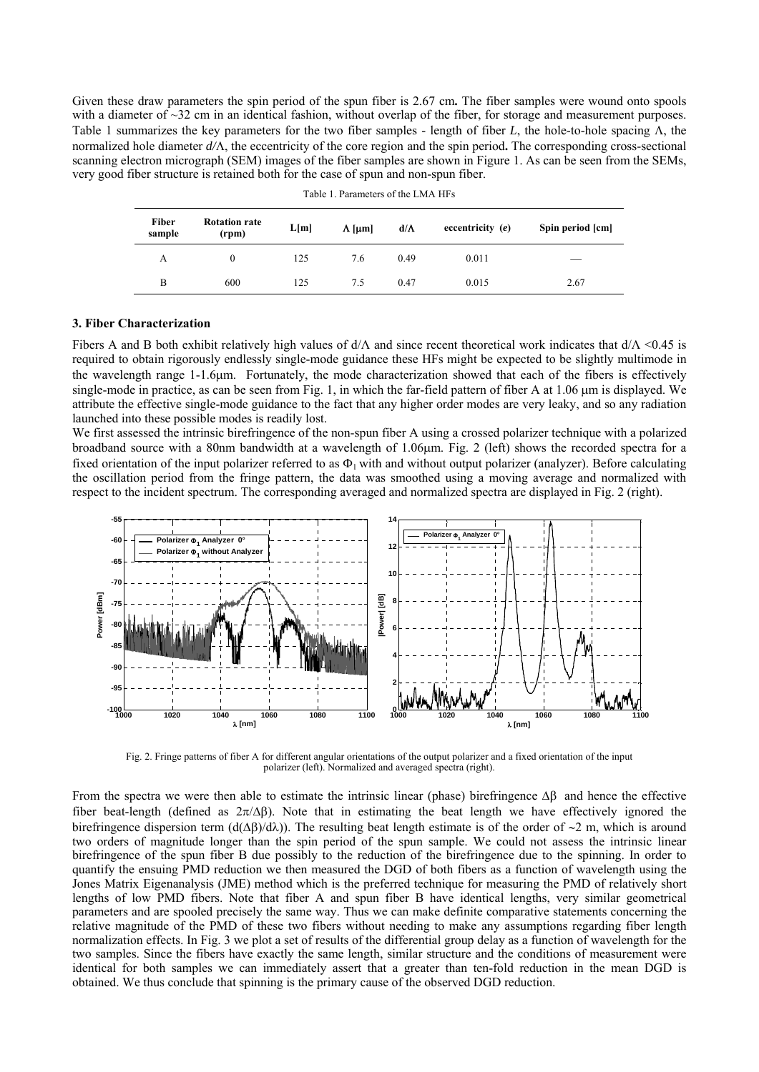Given these draw parameters the spin period of the spun fiber is 2.67 cm**.** The fiber samples were wound onto spools with a diameter of ~32 cm in an identical fashion, without overlap of the fiber, for storage and measurement purposes. Table 1 summarizes the key parameters for the two fiber samples - length of fiber *L*, the hole-to-hole spacing Λ, the normalized hole diameter *d/*Λ, the eccentricity of the core region and the spin period**.** The corresponding cross-sectional scanning electron micrograph (SEM) images of the fiber samples are shown in Figure 1. As can be seen from the SEMs, very good fiber structure is retained both for the case of spun and non-spun fiber.

| Fiber<br>sample | <b>Rotation rate</b><br>(rpm) | L[m] | $\Lambda$ [µm] | $d/\Lambda$ | eccentricity $(e)$ | Spin period [cm] |
|-----------------|-------------------------------|------|----------------|-------------|--------------------|------------------|
| А               | 0                             | 125  | 7.6            | 0.49        | 0.011              | __               |
| B               | 600                           | 125  | 7.5            | 0.47        | 0.015              | 2.67             |

Table 1. Parameters of the LMA HFs

#### **3. Fiber Characterization**

Fibers A and B both exhibit relatively high values of  $d/\Lambda$  and since recent theoretical work indicates that  $d/\Lambda$  <0.45 is required to obtain rigorously endlessly single-mode guidance these HFs might be expected to be slightly multimode in the wavelength range 1-1.6μm. Fortunately, the mode characterization showed that each of the fibers is effectively single-mode in practice, as can be seen from Fig. 1, in which the far-field pattern of fiber A at 1.06 µm is displayed. We attribute the effective single-mode guidance to the fact that any higher order modes are very leaky, and so any radiation launched into these possible modes is readily lost.

We first assessed the intrinsic birefringence of the non-spun fiber A using a crossed polarizer technique with a polarized broadband source with a 80nm bandwidth at a wavelength of 1.06μm. Fig. 2 (left) shows the recorded spectra for a fixed orientation of the input polarizer referred to as  $\Phi_1$  with and without output polarizer (analyzer). Before calculating the oscillation period from the fringe pattern, the data was smoothed using a moving average and normalized with respect to the incident spectrum. The corresponding averaged and normalized spectra are displayed in Fig. 2 (right).



Fig. 2. Fringe patterns of fiber A for different angular orientations of the output polarizer and a fixed orientation of the input polarizer (left). Normalized and averaged spectra (right).

From the spectra we were then able to estimate the intrinsic linear (phase) birefringence Δβ and hence the effective fiber beat-length (defined as  $2\pi/\Delta\beta$ ). Note that in estimating the beat length we have effectively ignored the birefringence dispersion term (d(Δβ)/dλ)). The resulting beat length estimate is of the order of ∼2 m, which is around two orders of magnitude longer than the spin period of the spun sample. We could not assess the intrinsic linear birefringence of the spun fiber B due possibly to the reduction of the birefringence due to the spinning. In order to quantify the ensuing PMD reduction we then measured the DGD of both fibers as a function of wavelength using the Jones Matrix Eigenanalysis (JME) method which is the preferred technique for measuring the PMD of relatively short lengths of low PMD fibers. Note that fiber A and spun fiber B have identical lengths, very similar geometrical parameters and are spooled precisely the same way. Thus we can make definite comparative statements concerning the relative magnitude of the PMD of these two fibers without needing to make any assumptions regarding fiber length normalization effects. In Fig. 3 we plot a set of results of the differential group delay as a function of wavelength for the two samples. Since the fibers have exactly the same length, similar structure and the conditions of measurement were identical for both samples we can immediately assert that a greater than ten-fold reduction in the mean DGD is obtained. We thus conclude that spinning is the primary cause of the observed DGD reduction.